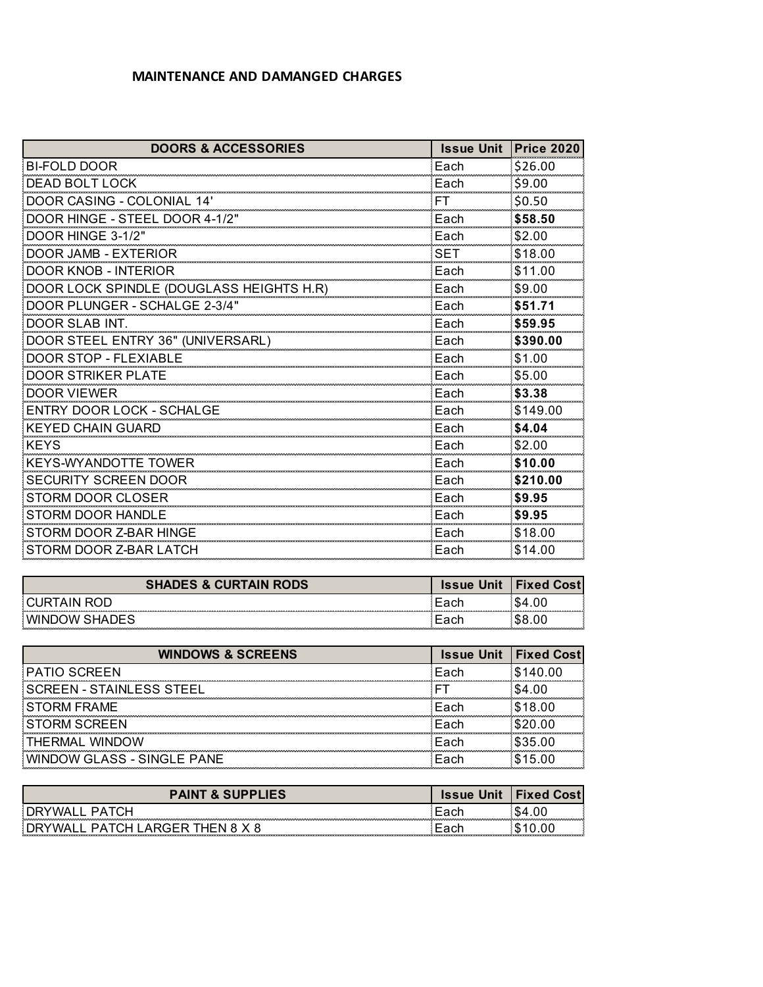## **MAINTENANCE AND DAMANGED CHARGES**

| <b>DOORS &amp; ACCESSORIES</b>           | <b>Issue Unit</b> | <b>Price 2020</b> |
|------------------------------------------|-------------------|-------------------|
| <b>BI-FOLD DOOR</b>                      | Each              | \$26.00           |
| <b>DEAD BOLT LOCK</b>                    | Each              | \$9.00            |
| <b>DOOR CASING - COLONIAL 14'</b>        | FТ                | \$0.50            |
| DOOR HINGE - STEEL DOOR 4-1/2"           | Each              | \$58.50           |
| DOOR HINGE 3-1/2"                        | Each              | \$2.00            |
| DOOR JAMB - EXTERIOR                     | SET               | \$18.00           |
| <b>DOOR KNOB - INTERIOR</b>              | Each              | \$11.00           |
| DOOR LOCK SPINDLE (DOUGLASS HEIGHTS H.R) | Each              | \$9.00            |
| DOOR PLUNGER - SCHALGE 2-3/4"            | Each              | \$51.71           |
| DOOR SLAB INT.                           | Each              | \$59.95           |
| DOOR STEEL ENTRY 36" (UNIVERSARL)        | Each              | \$390.00          |
| DOOR STOP - FLEXIABLE                    | Each              | \$1.00            |
| <b>DOOR STRIKER PLATE</b>                | Each              | \$5.00            |
| <b>DOOR VIEWER</b>                       | Each              | \$3.38            |
| ENTRY DOOR LOCK - SCHALGE                | Each              | \$149.00          |
| <b>KEYED CHAIN GUARD</b>                 | Each              | \$4.04            |
| <b>KEYS</b>                              | Each              | \$2.00            |
| <b>KEYS-WYANDOTTE TOWER</b>              | Each              | \$10.00           |
| <b>SECURITY SCREEN DOOR</b>              | Each              | \$210.00          |
| <b>STORM DOOR CLOSER</b>                 | Each              | \$9.95            |
| <b>STORM DOOR HANDLE</b>                 | Each              | \$9.95            |
| STORM DOOR Z-BAR HINGE                   | Each              | \$18.00           |
| STORM DOOR Z-BAR LATCH                   | Each              | \$14.00           |

| <b>S &amp; CURTAIN</b><br><b>RODS</b><br><b>SHADES</b> | Issue | Fixed<br>Cost |
|--------------------------------------------------------|-------|---------------|
| IN                                                     |       |               |
| <b>WINE</b><br>SHAL…<br>)W                             |       |               |

| <b>WINDOWS &amp; SCREENS</b>    |      | <b>Issue Unit   Fixed Cost </b> |
|---------------------------------|------|---------------------------------|
| <b>PATIO SCREEN</b>             | Fach | \$140.00                        |
| <b>SCREEN - STAINLESS STEEL</b> |      |                                 |
| ORM FRAME                       | -arh | 18.00                           |
| <b>STORM SCREEN</b>             | Fach | <b>\$20.00</b>                  |
| THERMAI WINDOW                  | Fach | \$35.00                         |
| WINDOW GLASS - SINGLE PANE      | Fach | _ 5                             |

| & SUPPLIES | Unit<br><b>ISSUE</b> | Tixeo<br>∵ost. |
|------------|----------------------|----------------|
| . .        |                      |                |
|            |                      | .              |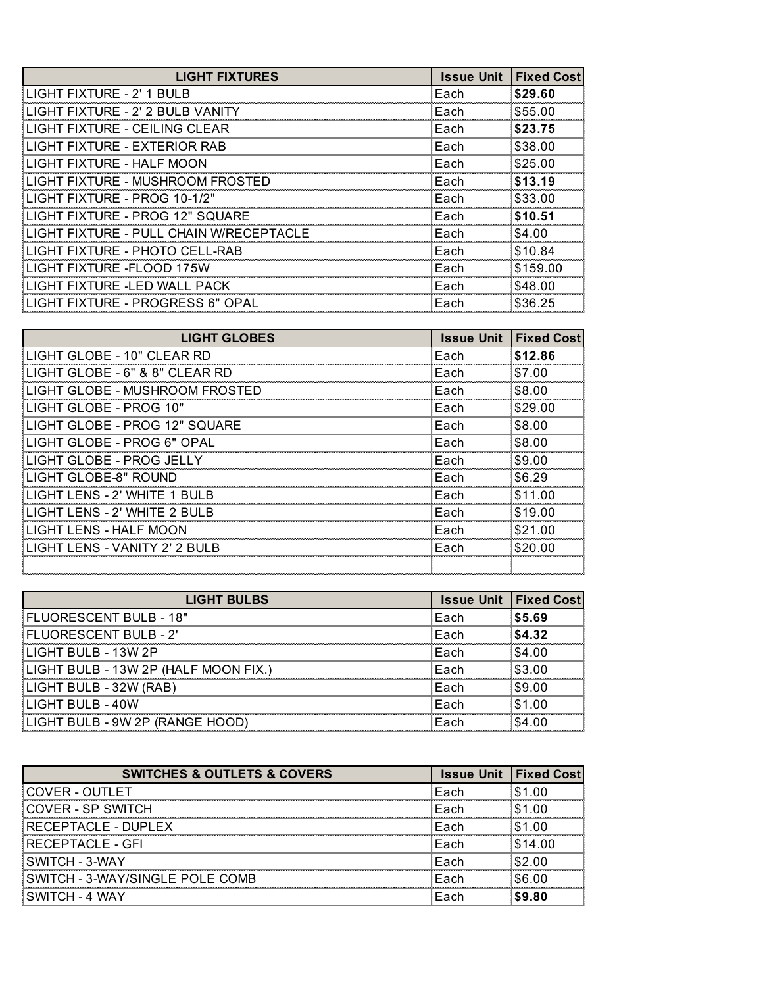| <b>LIGHT FIXTURES</b>                   | <b>Issue Unit</b> | <b>Fixed Cost</b> |
|-----------------------------------------|-------------------|-------------------|
| LIGHT FIXTURE - 2' 1 BULB               | Each              | \$29.60           |
| LIGHT FIXTURE - 2' 2 BULB VANITY        | Each              | \$55.00           |
| LIGHT FIXTURE - CEILING CLEAR           | Each              | \$23.75           |
| LIGHT FIXTURE - EXTERIOR RAB            | Each              | \$38.00           |
| LIGHT FIXTURE - HALF MOON               | Each              | \$25.00           |
| LIGHT FIXTURE - MUSHROOM FROSTED        | Each              | \$13.19           |
| LIGHT FIXTURE - PROG 10-1/2"            | Each              | \$33.00           |
| LIGHT FIXTURE - PROG 12" SQUARE         | Each              | \$10.51           |
| LIGHT FIXTURE - PULL CHAIN W/RECEPTACLE | Each              | \$4.00            |
| LIGHT FIXTURE - PHOTO CELL-RAB          | Each              | \$10.84           |
| LIGHT FIXTURE -FLOOD 175W               | Each              | \$159.00          |
| LIGHT FIXTURE -LED WALL PACK            | Each              | \$48.00           |
| LIGHT FIXTURE - PROGRESS 6" OPAL        | Each              | \$36.25           |

| <b>LIGHT GLOBES</b>            | <b>Issue Unit</b> | <b>Fixed Cost</b> |
|--------------------------------|-------------------|-------------------|
| LIGHT GLOBE - 10" CLEAR RD     | Each              | \$12.86           |
| LIGHT GLOBE - 6" & 8" CLEAR RD | Each              | \$7.00            |
| LIGHT GLOBE - MUSHROOM FROSTED | Fach              | \$8.00            |
| LIGHT GLOBE - PROG 10"         | Each              | \$29.00           |
| LIGHT GLOBE - PROG 12" SQUARE  | Each              | \$8.00            |
| LIGHT GLOBE - PROG 6" OPAL     | Each              | \$8.00            |
| LIGHT GLOBE - PROG JELLY       | Each              | \$9.00            |
| LIGHT GLOBE-8" ROUND           | Each              | \$6.29            |
| LIGHT LENS - 2' WHITE 1 BULB   | Each              | \$11.00           |
| LIGHT LENS - 2' WHITE 2 BULB   | Each              | \$19.00           |
| LIGHT LENS - HALF MOON         | Each              | \$21.00           |
| LIGHT LENS - VANITY 2' 2 BULB  | Each              | \$20.00           |
|                                |                   |                   |

| <b>LIGHT BULBS</b>                   | <b>Issue Unit   Fixed Cost</b> |        |
|--------------------------------------|--------------------------------|--------|
| FLUORESCENT BULB - 18"               | Each                           | \$5.69 |
| FLUORESCENT BULB - 2'                | Fach                           | \$4.32 |
| LIGHT BULB - 13W 2P                  | Fach                           | \$4.00 |
| LIGHT BULB - 13W 2P (HALF MOON FIX.) | Fach                           | \$3.00 |
| LIGHT BULB - 32W (RAB)               | Fach                           | \$9.00 |
| LIGHT BULB - 40W                     | Fach                           | \$1.00 |
| LIGHT BULB - 9W 2P (RANGE HOOD)      | Fach                           | \$4.00 |

| <b>SWITCHES &amp; OUTLETS &amp; COVERS</b> |      | <b>Issue Unit   Fixed Cost</b> |
|--------------------------------------------|------|--------------------------------|
| COVER - OUTLET                             | Each |                                |
| COVER - SP SWITCH                          | Fach | <b>\$1.00</b>                  |
| RECEPTACLE - DUPLEX                        | Fach |                                |
| RECEPTACLE - GFI                           | Fach | \$14.00                        |
| SWITCH - 3-WAY                             | Fach | .S2 00                         |
| SWITCH - 3-WAY/SINGLE POLE COMB            | Fach | .SG 00                         |
| SWITCH - 4 WAY                             | Fach | <b>\$9.80</b>                  |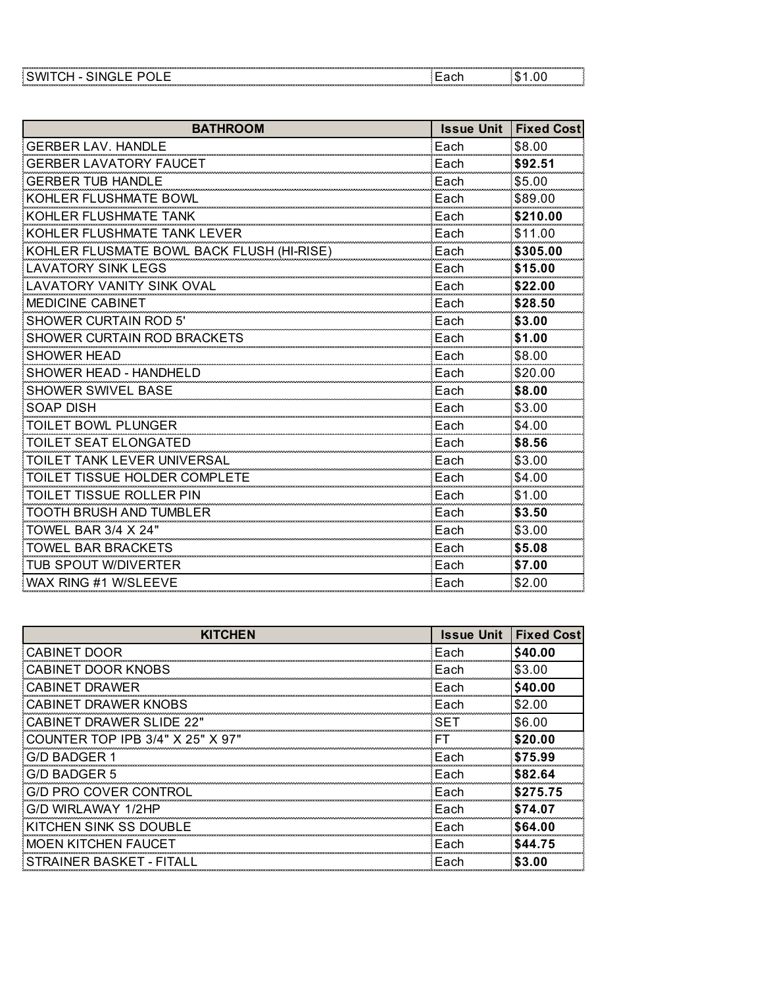| . | .         |
|---|-----------|
|   |           |
| . | --------- |

| <b>BATHROOM</b>                           | <b>Issue Unit</b> | <b>Fixed Cost</b> |
|-------------------------------------------|-------------------|-------------------|
| <b>GERBER LAV. HANDLE</b>                 | Each              | \$8.00            |
| <b>GERBER LAVATORY FAUCET</b>             | Each              | \$92.51           |
| <b>GERBER TUB HANDLE</b>                  | Each              | \$5.00            |
| KOHLER FLUSHMATE BOWL                     | Each              | \$89.00           |
| KOHLER FLUSHMATE TANK                     | Each              | \$210.00          |
| KOHLER FLUSHMATE TANK LEVER               | Each              | \$11.00           |
| KOHLER FLUSMATE BOWL BACK FLUSH (HI-RISE) | Each              | \$305.00          |
| <b>LAVATORY SINK LEGS</b>                 | Each              | \$15.00           |
| LAVATORY VANITY SINK OVAL                 | Each              | \$22.00           |
| <b>MEDICINE CABINET</b>                   | Each              | \$28.50           |
| <b>SHOWER CURTAIN ROD 5'</b>              | Each              | \$3.00            |
| SHOWER CURTAIN ROD BRACKETS               | Each              | \$1.00            |
| <b>SHOWER HEAD</b>                        | Each              | \$8.00            |
| SHOWER HEAD - HANDHELD                    | Each              | \$20.00           |
| <b>SHOWER SWIVEL BASE</b>                 | Each              | \$8.00            |
| <b>SOAP DISH</b>                          | Each              | \$3.00            |
| <b>TOILET BOWL PLUNGER</b>                | Each              | \$4.00            |
| <b>TOILET SEAT ELONGATED</b>              | Each              | \$8.56            |
| TOILET TANK LEVER UNIVERSAL               | Each              | \$3.00            |
| TOILET TISSUE HOLDER COMPLETE             | Each              | \$4.00            |
| <b>TOILET TISSUE ROLLER PIN</b>           | Each              | \$1.00            |
| <b>TOOTH BRUSH AND TUMBLER</b>            | Each              | \$3.50            |
| TOWEL BAR 3/4 X 24"                       | Each              | \$3.00            |
| <b>TOWEL BAR BRACKETS</b>                 | Each              | \$5.08            |
| TUB SPOUT W/DIVERTER                      | Each              | \$7.00            |
| WAX RING #1 W/SLEEVE                      | Each              | \$2.00            |

| <b>KITCHEN</b>                   | <b>Issue Unit</b> | <b>Fixed Cost</b> |
|----------------------------------|-------------------|-------------------|
| <b>CABINET DOOR</b>              | Each              | \$40.00           |
| CABINET DOOR KNOBS               | Each              | \$3.00            |
| CABINET DRAWER                   | Each              | \$40.00           |
| CABINET DRAWER KNOBS             | Each              | \$2.00            |
| CABINET DRAWER SLIDE 22"         | SET               | \$6.00            |
| COUNTER TOP IPB 3/4" X 25" X 97" | FТ                | \$20.00           |
| G/D BADGER 1                     | Each              | \$75.99           |
| G/D BADGER 5                     | Each              | \$82.64           |
| G/D PRO COVER CONTROL            | Each              | \$275.75          |
| G/D WIRLAWAY 1/2HP               | Each              | \$74.07           |
| KITCHEN SINK SS DOUBLE           | Each              | \$64.00           |
| MOEN KITCHEN FAUCET              | Each              | \$44.75           |
| STRAINER BASKET - FITALL         | Each              | \$3.00            |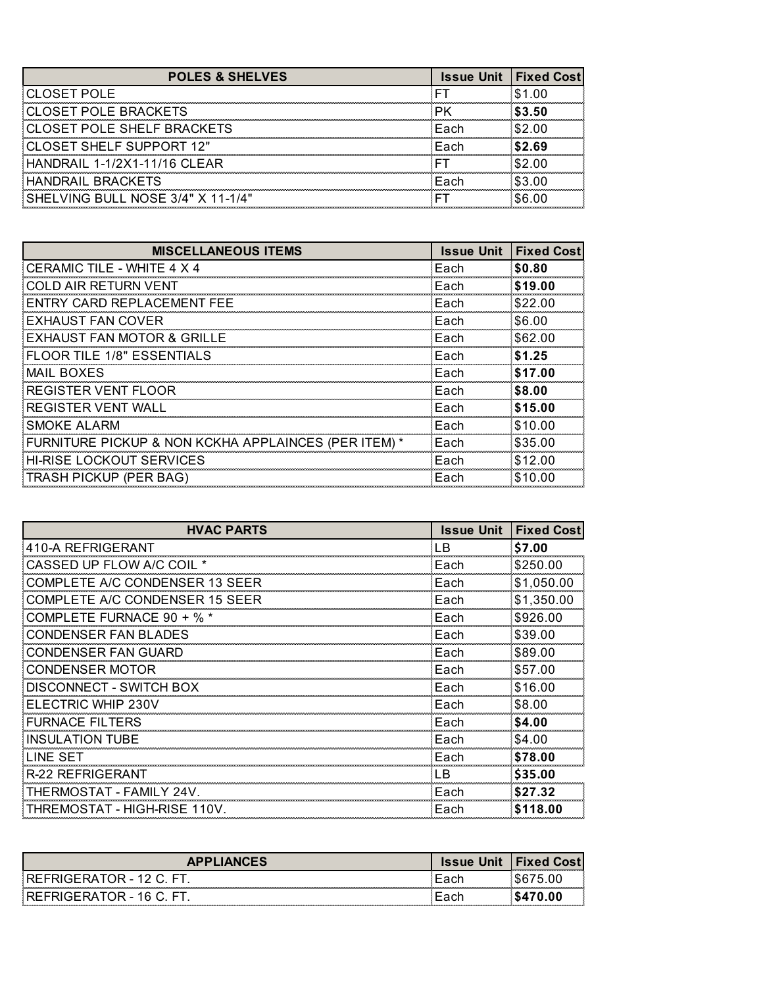| <b>POLES &amp; SHELVES</b>        | <b>Issue Unit I Fixed Cost</b> |               |
|-----------------------------------|--------------------------------|---------------|
| <b>CLOSET POLE</b>                |                                | - \$1.00      |
| <b>CLOSET POLE BRACKETS</b>       |                                | \$3.50        |
| <b>CLOSET POLE SHELF BRACKETS</b> | Fach                           | <b>\$2.00</b> |
| CLOSET SHELF SUPPORT 12"          | Each                           | -S2.69        |
| HANDRAIL 1-1/2X1-11/16 CLEAR      |                                |               |
| HANDRAIL BRACKETS                 | Fach                           | \$3.00        |
| SHELVING BULL NOSE 3/4" X 11-1/4" |                                |               |

| <b>MISCELLANEOUS ITEMS</b>                           | <b>Issue Unit</b> | <b>Fixed Cost</b> |
|------------------------------------------------------|-------------------|-------------------|
| CERAMIC TILE - WHITE 4 X 4                           | Each              | \$0.80            |
| COLD AIR RETURN VENT                                 | Each              | \$19.00           |
| ENTRY CARD REPLACEMENT FEE                           | Each              | \$22.00           |
| EXHAUST FAN COVER                                    | Each              | \$6.00            |
| EXHAUST FAN MOTOR & GRILLE                           | Each              | \$62.00           |
| <b>FLOOR TILE 1/8" ESSENTIALS</b>                    | Each              | \$1.25            |
| <b>MAIL BOXES</b>                                    | Each              | \$17.00           |
| REGISTER VENT FLOOR                                  | Each              | \$8.00            |
| REGISTER VENT WALL                                   | Each              | \$15.00           |
| SMOKE ALARM                                          | Each              | \$10.00           |
| FURNITURE PICKUP & NON KCKHA APPLAINCES (PER ITEM) * | Each              | \$35.00           |
| <b>HI-RISE LOCKOUT SERVICES</b>                      | Each              | \$12.00           |
| TRASH PICKUP (PER BAG)                               | Each              | \$10.00           |

| <b>HVAC PARTS</b>              | <b>Issue Unit</b> | <b>Fixed Cost</b> |
|--------------------------------|-------------------|-------------------|
| 410-A REFRIGERANT              | LВ                | \$7.00            |
| CASSED UP FLOW A/C COIL *      | Each              | \$250.00          |
| COMPLETE A/C CONDENSER 13 SEER | Each              | \$1,050.00        |
| COMPLETE A/C CONDENSER 15 SEER | Each              | \$1,350.00        |
| COMPLETE FURNACE 90 + % *      | Each              | \$926.00          |
| CONDENSER FAN BLADES           | Each              | \$39.00           |
| CONDENSER FAN GUARD            | Each              | \$89.00           |
| <b>CONDENSER MOTOR</b>         | Each              | \$57.00           |
| DISCONNECT - SWITCH BOX        | Each              | \$16.00           |
| ELECTRIC WHIP 230V             | Each              | \$8.00            |
| <b>FURNACE FILTERS</b>         | Each              | \$4.00            |
| INSULATION TUBE                | Each              | \$4.00            |
| LINE SET                       | Each              | \$78.00           |
| R-22 REFRIGERANT               | - B               | \$35.00           |
| THERMOSTAT - FAMILY 24V.       | Each              | \$27.32           |
| THREMOSTAT - HIGH-RISE 110V.   | Each              | \$118,00          |

| <b>APPLIANCES</b>        | <b>Issue Unit</b> | <b>I</b> Fixed Cost<br>.<br>--------------- |
|--------------------------|-------------------|---------------------------------------------|
| REFRIGERATOR - 12 C. FT  |                   |                                             |
| REFRIGERATOR - 16 C. FT. |                   |                                             |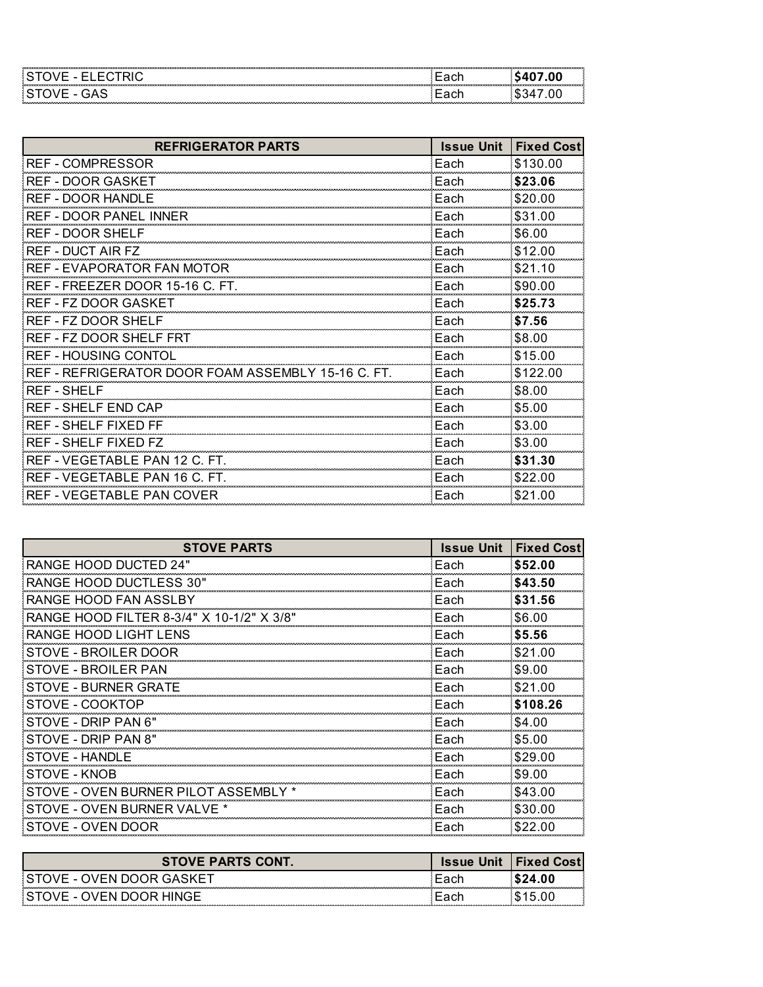|  | . |
|--|---|

| <b>REFRIGERATOR PARTS</b>                          | <b>Issue Unit</b> | <b>Fixed Cost</b> |
|----------------------------------------------------|-------------------|-------------------|
| <b>REF - COMPRESSOR</b>                            | Each              | \$130.00          |
| <b>REF - DOOR GASKET</b>                           | Each              | \$23.06           |
| <b>REF - DOOR HANDLE</b>                           | Each              | \$20.00           |
| REF - DOOR PANEL INNER                             | Each              | \$31.00           |
| REF - DOOR SHELF                                   | Each              | \$6.00            |
| <b>REF - DUCT AIR FZ</b>                           | Each              | \$12.00           |
| <b>REF - EVAPORATOR FAN MOTOR</b>                  | Each              | \$21.10           |
| REF - FREEZER DOOR 15-16 C. FT.                    | Each              | \$90.00           |
| <b>REF - FZ DOOR GASKET</b>                        | Each              | \$25.73           |
| REF - FZ DOOR SHELF                                | Each              | \$7.56            |
| REF - FZ DOOR SHELF FRT                            | Each              | \$8.00            |
| <b>REF - HOUSING CONTOL</b>                        | Each              | \$15.00           |
| REF - REFRIGERATOR DOOR FOAM ASSEMBLY 15-16 C. FT. | Each              | \$122.00          |
| <b>REF - SHELF</b>                                 | Each              | \$8.00            |
| <b>REF - SHELF END CAP</b>                         | Each              | \$5.00            |
| <b>REF - SHELF FIXED FF</b>                        | Each              | \$3.00            |
| REF - SHELF FIXED FZ                               | Each              | \$3.00            |
| REF - VEGETABLE PAN 12 C. FT.                      | Each              | \$31.30           |
| REF - VEGETABLE PAN 16 C. FT.                      | Each              | \$22.00           |
| REF - VEGETABLE PAN COVER                          | Each              | \$21.00           |

| <b>STOVE PARTS</b>                        | <b>Issue Unit</b> | <b>Fixed Cost</b> |
|-------------------------------------------|-------------------|-------------------|
| RANGE HOOD DUCTED 24"                     | Each              | \$52.00           |
| RANGE HOOD DUCTLESS 30"                   | Each              | \$43.50           |
| RANGE HOOD FAN ASSLBY                     | Each              | \$31.56           |
| RANGE HOOD FILTER 8-3/4" X 10-1/2" X 3/8" | Each              | \$6.00            |
| RANGE HOOD LIGHT LENS                     | Each              | \$5.56            |
| STOVE - BROILER DOOR                      | Each              | \$21.00           |
| STOVE - BROILER PAN                       | Each              | \$9.00            |
| STOVE - BURNER GRATE                      | Each              | \$21.00           |
| STOVE - COOKTOP                           | Each              | \$108.26          |
| STOVE - DRIP PAN 6"                       | Each              | \$4.00            |
| STOVE - DRIP PAN 8"                       | Each              | \$5.00            |
| STOVE - HANDLE                            | Each              | \$29.00           |
| STOVE - KNOB                              | Each              | \$9.00            |
| STOVE - OVEN BURNER PILOT ASSEMBL         | Each              | \$43.00           |
| STOVE - OVEN BURNER VALVE *               | Each              | \$30.00           |
| STOVE - OVEN DOOR                         | Each              | \$22.00           |

| <b>STOVE PARTS CONT.</b>    | <b>Issue Unit I Fixed Costl</b> |     |
|-----------------------------|---------------------------------|-----|
| ISTOVE - OVEN DOOR GASKET   |                                 | .00 |
| STOVE - OVEN DOOR HINGE<br> |                                 |     |